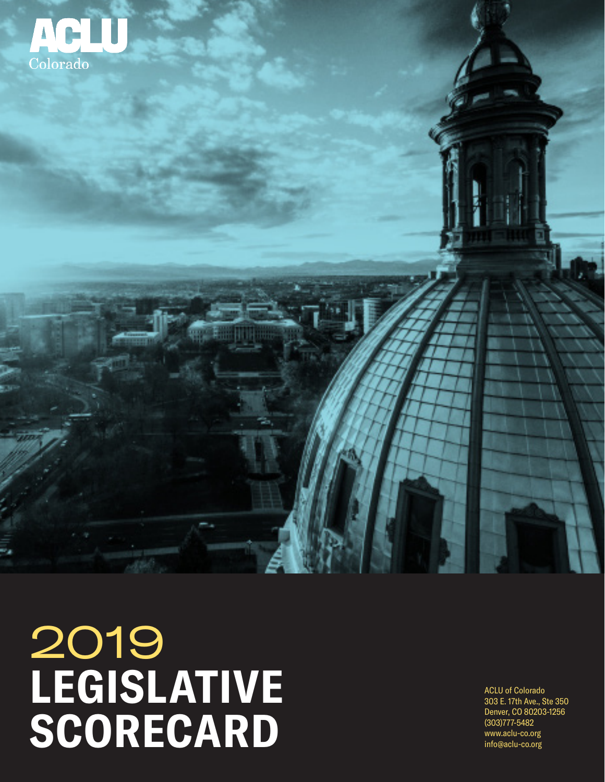

# 2019 **LEGISLATIVE SCORECARD**

ACLU of Colorado 303 E. 17th Ave., Ste 350 Denver, CO 80203-1256 (303)777-5482 www.aclu-co.org info@aclu-co.org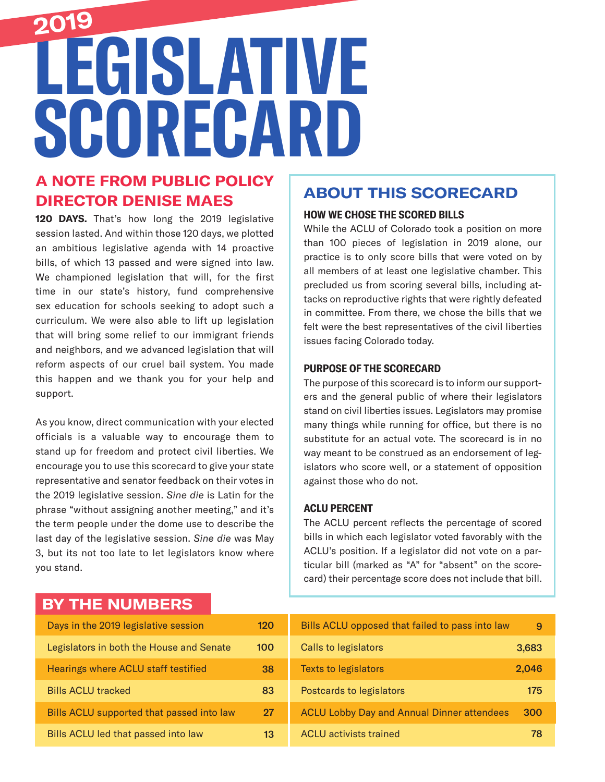# **LEGISLATIVE SCORECARD 2019**

### **A NOTE FROM PUBLIC POLICY DIRECTOR DENISE MAES**

**120 DAYS.** That's how long the 2019 legislative session lasted. And within those 120 days, we plotted an ambitious legislative agenda with 14 proactive bills, of which 13 passed and were signed into law. We championed legislation that will, for the first time in our state's history, fund comprehensive sex education for schools seeking to adopt such a curriculum. We were also able to lift up legislation that will bring some relief to our immigrant friends and neighbors, and we advanced legislation that will reform aspects of our cruel bail system. You made this happen and we thank you for your help and support.

As you know, direct communication with your elected officials is a valuable way to encourage them to stand up for freedom and protect civil liberties. We encourage you to use this scorecard to give your state representative and senator feedback on their votes in the 2019 legislative session. *Sine die* is Latin for the phrase "without assigning another meeting," and it's the term people under the dome use to describe the last day of the legislative session. *Sine die* was May 3, but its not too late to let legislators know where you stand.

## **ABOUT THIS SCORECARD**

#### **HOW WE CHOSE THE SCORED BILLS**

While the ACLU of Colorado took a position on more than 100 pieces of legislation in 2019 alone, our practice is to only score bills that were voted on by all members of at least one legislative chamber. This precluded us from scoring several bills, including attacks on reproductive rights that were rightly defeated in committee. From there, we chose the bills that we felt were the best representatives of the civil liberties issues facing Colorado today.

#### **PURPOSE OF THE SCORECARD**

The purpose of this scorecard is to inform our supporters and the general public of where their legislators stand on civil liberties issues. Legislators may promise many things while running for office, but there is no substitute for an actual vote. The scorecard is in no way meant to be construed as an endorsement of legislators who score well, or a statement of opposition against those who do not.

#### **ACLU PERCENT**

The ACLU percent reflects the percentage of scored bills in which each legislator voted favorably with the ACLU's position. If a legislator did not vote on a particular bill (marked as "A" for "absent" on the scorecard) their percentage score does not include that bill.

### **BY THE NUMBERS**

| Days in the 2019 legislative session       | 120 |
|--------------------------------------------|-----|
| Legislators in both the House and Senate   | 100 |
| <b>Hearings where ACLU staff testified</b> | 38  |
| <b>Bills ACLU tracked</b>                  | 83  |
| Bills ACLU supported that passed into law  | 97  |
| Bills ACLU led that passed into law        | 13  |

| Bills ACLU opposed that failed to pass into law   |       |
|---------------------------------------------------|-------|
| <b>Calls to legislators</b>                       | 3,683 |
| <b>Texts to legislators</b>                       | 2,046 |
| Postcards to legislators                          | 175   |
| <b>ACLU Lobby Day and Annual Dinner attendees</b> | 300   |
| <b>ACLU</b> activists trained                     | 78    |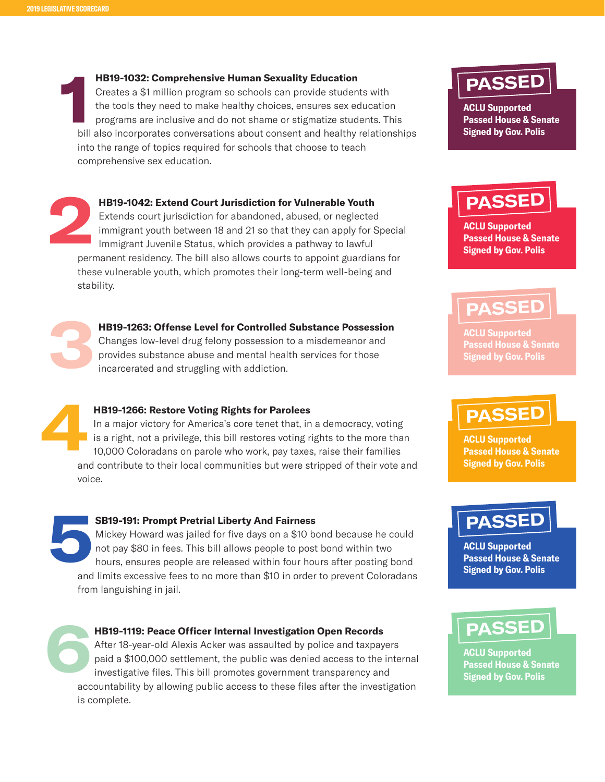**1 HB19-1032: Comprehensive Human Sexuality Education**  Creates a \$1 million program so schools can provide students with the tools they need to make healthy choices, ensures sex education programs are inclusive and do not shame or stigmatize students. This bill also incorporates conversations about consent and healthy relationships into the range of topics required for schools that choose to teach comprehensive sex education.

**2 HB19-1042: Extend Court Jurisdiction for Vulnerable Youth** Extends court jurisdiction for abandoned, abused, or neglected immigrant youth between 18 and 21 so that they can apply for Special Immigrant Juvenile Status, which provides a pathway to lawful permanent residency. The bill also allows courts to appoint guardians for these vulnerable youth, which promotes their long-term well-being and stability.



**HB19-1263: Offense Level for Controlled Substance Possession**  Changes low-level drug felony possession to a misdemeanor and provides substance abuse and mental health services for those

incarcerated and struggling with addiction.

#### **HB19-1266: Restore Voting Rights for Parolees**

In a major victory for America's core tenet that, in a democracy, voting is a right, not a privilege, this bill restores voting rights to the more than 10,000 Coloradans on parole who work, pay taxes, raise their families and contribute to their local communities but were stripped of their vote and voice. **4**

**SB19-191: Prompt Pretrial Liberty And Fairness**  Mickey Howard was jailed for five days on a \$10 bond because he could not pay \$80 in fees. This bill allows people to post bond within two hours, ensures people are released within four hours after posting bond and limits excessive fees to no more than \$10 in order to prevent Coloradans from languishing in jail. **5**



#### **HB19-1119: Peace Officer Internal Investigation Open Records**

After 18-year-old Alexis Acker was assaulted by police and taxpayers paid a \$100,000 settlement, the public was denied access to the internal investigative files. This bill promotes government transparency and accountability by allowing public access to these files after the investigation is complete.



**ACLU Supported Passed House & Senate Signed by Gov. Polis**

## **PASSED**

**ACLU Supported Passed House & Senate Signed by Gov. Polis**

## **PASSED**

**ACLU Supported Passed House & Senate Signed by Gov. Polis**

## **PASSED**

**ACLU Supported Passed House & Senate Signed by Gov. Polis**



**ACLU Supported Passed House & Senate Signed by Gov. Polis**

## **PASSED**

**ACLU Supported Passed House & Senate Signed by Gov. Polis**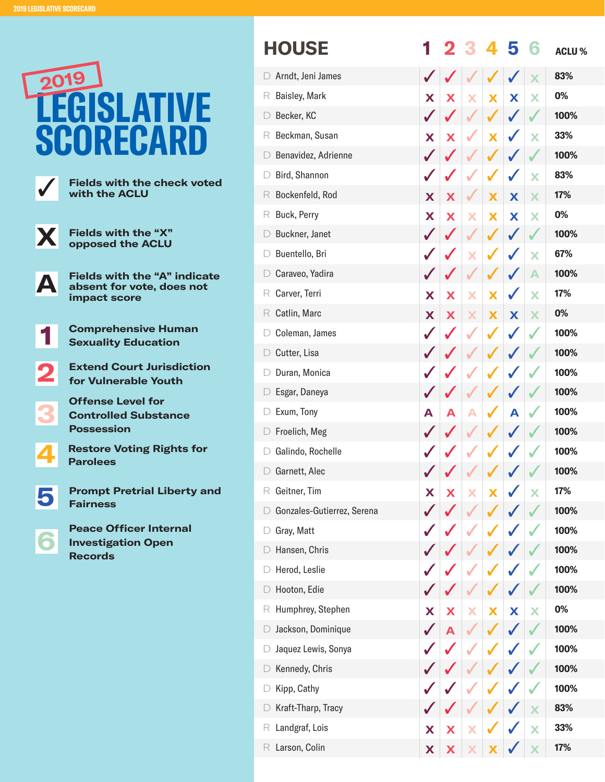

|   | <b>HOUSE</b>               |              |   |   |                         | 5 |   | <b>ACLU%</b> |
|---|----------------------------|--------------|---|---|-------------------------|---|---|--------------|
|   | Arndt, Jeni James          |              |   |   |                         |   |   | 83%          |
| R | Baisley, Mark              | X            | X |   | Х                       | X | X | 0%           |
|   | Becker, KC                 | $\checkmark$ |   |   |                         |   |   | 100%         |
| R | Beckman, Susan             | X            | X |   | $\overline{\mathbf{x}}$ |   | X | 33%          |
|   | Benavidez, Adrienne        | $\checkmark$ |   |   |                         |   |   | 100%         |
|   | Bird, Shannon              | $\checkmark$ |   |   |                         | J | X | 83%          |
| R | Bockenfeld, Rod            | X            | Х |   | X                       | X | X | 17%          |
| R | Buck, Perry                | X            | X | Х | X                       | X | X | 0%           |
|   | Buckner, Janet             | $\checkmark$ |   |   |                         |   |   | 100%         |
|   | Buentello, Bri             |              |   | X |                         |   | X | 67%          |
|   | Caraveo, Yadira            |              |   |   |                         |   | A | 100%         |
| R | Carver, Terri              | X            | Х | X | $\overline{\mathbf{X}}$ |   | X | 17%          |
| R | Catlin, Marc               | X            | Х |   | Х                       | X | X | 0%           |
|   | Coleman, James             |              |   |   |                         |   |   | 100%         |
|   | Cutter, Lisa               |              |   |   |                         |   |   | 100%         |
|   | Duran, Monica              |              |   |   |                         |   |   | 100%         |
|   | Esgar, Daneya              |              |   |   |                         |   |   | 100%         |
|   | Exum, Tony                 | А            | А |   |                         | А |   | 100%         |
|   | Froelich, Meg              |              |   |   |                         |   |   | 100%         |
|   | Galindo, Rochelle          |              |   |   |                         |   |   | 100%         |
|   | Garnett, Alec              |              |   |   |                         |   |   | 100%         |
| R | Geitner, Tim               | X            | X |   |                         |   |   | 17%          |
|   | Gonzales-Gutierrez, Serena |              |   |   |                         |   |   | 100%         |
|   | Gray, Matt                 |              |   |   |                         |   |   | 100%         |
|   | Hansen, Chris              |              |   |   |                         |   |   | 100%         |
|   | Herod, Leslie              |              |   |   |                         |   |   | 100%         |
|   | Hooton, Edie               |              |   |   |                         |   |   | 100%         |
| К | Humphrey, Stephen          | X            | X |   | Х                       | X | Х | 0%           |
|   | Jackson, Dominique         | $\checkmark$ | A |   |                         |   |   | 100%         |
|   | Jaquez Lewis, Sonya        |              |   |   |                         |   |   | 100%         |
|   | Kennedy, Chris             |              |   |   |                         |   |   | 100%         |
|   | Kipp, Cathy                |              |   |   |                         |   |   | 100%         |
|   | Kraft-Tharp, Tracy         |              |   |   |                         |   | X | 83%          |
| К | Landgraf, Lois             | X            | X |   |                         |   | X | 33%          |
| R | Larson, Colin              | X            | X |   |                         |   | X | 17%          |
|   |                            |              |   |   |                         |   |   |              |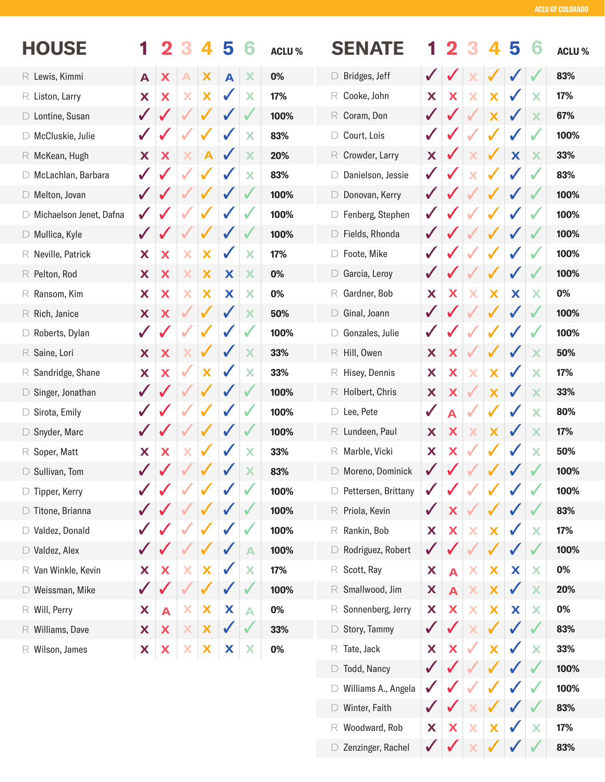**17% 83%**

| <b>HOUSE</b>                    |              |                  |   |                  | 5            |                  | <b>ACLU%</b> | <b>SENATE</b>                   |              |                         |              |                           | 5            |                         | <b>ACLU%</b> |
|---------------------------------|--------------|------------------|---|------------------|--------------|------------------|--------------|---------------------------------|--------------|-------------------------|--------------|---------------------------|--------------|-------------------------|--------------|
| $R$ Lewis, Kimmi                | A            | X                |   | X                | A            | X                | 0%           | Bridges, Jeff<br>$\Box$         |              |                         |              |                           |              |                         | 83%          |
| $R$ Liston, Larry               | X            | X                | X | X                | ✔            | X                | 17%          | Cooke, John<br>R                | X            | X                       | Х            | X                         | ✔            | X                       | 17%          |
| D Lontine, Susan                | $\checkmark$ | J                |   | ✔                | $\checkmark$ | V                | 100%         | $R$ Coram, Don                  | $\sqrt{2}$   |                         |              | X                         | $\sqrt{2}$   | X                       | 67%          |
| □ McCluskie, Julie              | $\sqrt{2}$   |                  |   | √                | $\checkmark$ | X                | 83%          | Court, Lois<br>D                | $\checkmark$ |                         |              | ✔                         | ✔            | $\checkmark$            | 100%         |
| $R$ McKean, Hugh                | X            | X                | X | $\blacktriangle$ | ✔            | X                | 20%          | Crowder, Larry<br>R             | X            |                         | X            | ✔                         | X            | X                       | 33%          |
| □ McLachlan, Barbara            | $\checkmark$ |                  |   |                  |              | X                | 83%          | Danielson, Jessie               | $\sqrt{2}$   |                         |              |                           |              |                         | 83%          |
| $\Box$ Melton, Jovan            | $\checkmark$ |                  |   |                  |              |                  | 100%         | Donovan, Kerry<br>$\Box$        | $\checkmark$ |                         |              |                           |              |                         | 100%         |
| □ Michaelson Jenet, Dafna       | $\checkmark$ |                  |   | ✔                | $\checkmark$ |                  | 100%         | Fenberg, Stephen                | $\sqrt{2}$   |                         |              | $\checkmark$              | ✔            | ✔                       | 100%         |
| $\Box$ Mullica, Kyle            | $\checkmark$ | J                |   | ✔                | V            |                  | 100%         | $\triangleright$ Fields, Rhonda | $\checkmark$ |                         |              | ✔                         | ✔            |                         | 100%         |
| $R$ Neville, Patrick            | X            | X                | X | X                | $\sqrt{}$    | X                | 17%          | Foote, Mike<br>D                | $\checkmark$ |                         |              | ✔                         | ✔            | ✔                       | 100%         |
| $R$ Pelton, Rod                 | X            | X                | X | X                | X            | X                | 0%           | Garcia, Leroy<br>$\Box$         | $\checkmark$ |                         |              | ✔                         | $\checkmark$ | $\overline{\mathbf{v}}$ | 100%         |
| $R$ Ransom, Kim                 | X            | X                | Х | X                | X            | X                | 0%           | Gardner, Bob<br>R               | X            | X                       | Х            | X                         | X            | Х                       | 0%           |
| $R$ Rich, Janice                | X            | X                |   | $\checkmark$     | ✔            | X                | 50%          | Ginal, Joann<br>$\Box$          | $\checkmark$ |                         |              | ✔                         | ✔            |                         | 100%         |
| $\triangleright$ Roberts, Dylan | $\sqrt{2}$   | $\checkmark$     |   | ✔                | ✔            | $\checkmark$     | 100%         | Gonzales, Julie                 | $\sqrt{2}$   |                         |              | ✔                         | $\checkmark$ | $\checkmark$            | 100%         |
| $R$ Saine, Lori                 | X            | X                | Х | $\checkmark$     | ✔            | X                | 33%          | $R$ Hill, Owen                  | X            | X                       |              | ✔                         | $\checkmark$ | X                       | 50%          |
| $\mathbb R$ Sandridge, Shane    | X            | X                |   | X                |              | X                | 33%          | Hisey, Dennis<br>R              | X            | X                       | X            | X                         | $\sqrt{2}$   | X                       | 17%          |
| $\Box$ Singer, Jonathan         | $\sqrt{2}$   | J                |   | ✔                | ✔            |                  | 100%         | Holbert, Chris<br>R             | X            | X                       |              | X                         | $\checkmark$ | X                       | 33%          |
| $\triangleright$ Sirota, Emily  | $\sqrt{2}$   |                  |   |                  |              |                  | 100%         | $\Box$ Lee, Pete                | $\sqrt{2}$   | A                       |              | $\checkmark$              | $\checkmark$ | X                       | 80%          |
| $\Box$ Snyder, Marc             | $\checkmark$ |                  |   |                  |              |                  | 100%         | Lundeen, Paul<br>R              | X            | X                       | Х            | X                         | $\checkmark$ | X                       | 17%          |
| $R$ Soper, Matt                 | X            | X                | Х | √                | $\sqrt{}$    | X                | 33%          | Marble, Vicki<br>R              | X            | X                       |              | $\checkmark$              | $\sqrt{}$    | X                       | 50%          |
| $\triangleright$ Sullivan, Tom  |              |                  |   |                  |              | X                | 83%          | Moreno, Dominick                | $\sqrt{2}$   |                         |              |                           |              |                         | 100%         |
| $\triangleright$ Tipper, Kerry  | $\checkmark$ |                  |   |                  |              |                  | 100%         | Pettersen, Brittany             |              |                         |              |                           | V            |                         | 100%         |
| $\Box$ Titone, Brianna          | $\sqrt{2}$   |                  |   |                  |              |                  | 100%         | $R$ Priola, Kevin               | $\checkmark$ | X                       |              |                           | V            |                         | 83%          |
| □ Valdez, Donald                | $\checkmark$ |                  |   |                  |              |                  | 100%         | Rankin, Bob<br>R                | X            | X                       | X            | X                         | $\sqrt{2}$   | X                       | 17%          |
| $\Box$ Valdez, Alex             | $\checkmark$ | J                |   |                  | ✔            | A                | 100%         | Rodriguez, Robert<br>$\Box$     | $\checkmark$ | $\checkmark$            |              | ✔                         | V            |                         | 100%         |
| $\mathbb R$ Van Winkle, Kevin   | X            | X                | Х | X                | ✔            | X                | 17%          | $R$ Scott, Ray                  | X            | $\overline{\mathbf{A}}$ | X            | X                         | X            | X                       | 0%           |
| $\triangleright$ Weissman, Mike | $\checkmark$ | $\checkmark$     |   | $\checkmark$     | $\checkmark$ |                  | 100%         | $R$ Smallwood, Jim              | X            | $\blacktriangle$        | X            | $\boldsymbol{\mathsf{X}}$ | $\checkmark$ | X                       | 20%          |
| $R$ Will, Perry                 | X            | $\blacktriangle$ | X | X                | X            | $\blacktriangle$ | 0%           | $R$ Sonnenberg, Jerry           | X            | X                       | X            | X                         | X            | X                       | $0\%$        |
| $R$ Williams, Dave              | X            | X                | X | X                | $\checkmark$ |                  | 33%          | $\Box$ Story, Tammy             | $\checkmark$ | $\sqrt{2}$              | Х            | ✔                         | $\checkmark$ | V                       | 83%          |
| $R$ Wilson, James               | X            | X                | X | X                | X            | X                | $0\%$        | Tate, Jack<br>R                 | X            | X                       | $\checkmark$ | X                         | $\checkmark$ | X                       | 33%          |
|                                 |              |                  |   |                  |              |                  |              | Todd, Nancy<br>$\Box$           | $\checkmark$ |                         |              |                           |              |                         | 100%         |
|                                 |              |                  |   |                  |              |                  |              | Williams A., Angela             |              |                         |              |                           |              |                         | 100%         |
|                                 |              |                  |   |                  |              |                  |              | Winter, Faith<br>$\Box$         |              |                         |              |                           |              |                         | 83%          |

D Zenzinger, Rachel

**X** ✓

**X** ✓ **X X**

**X** ✓ ✓ ✓

**X** ✓

Woodward, Rob R